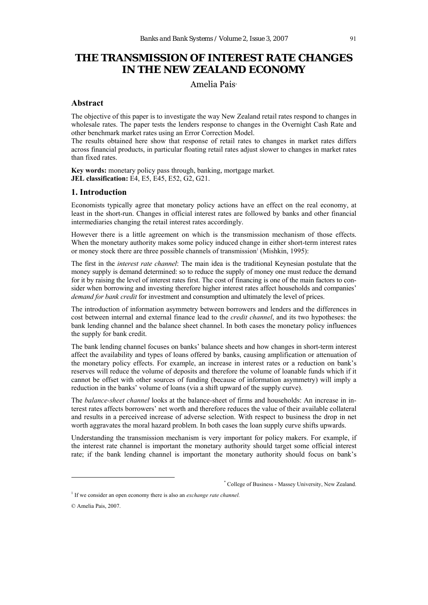# **THE TRANSMISSION OF INTEREST RATE CHANGES IN THE NEW ZEALAND ECONOMY**

# Amelia Pais\*

### **Abstract**

The objective of this paper is to investigate the way New Zealand retail rates respond to changes in wholesale rates. The paper tests the lenders response to changes in the Overnight Cash Rate and other benchmark market rates using an Error Correction Model.

The results obtained here show that response of retail rates to changes in market rates differs across financial products, in particular floating retail rates adjust slower to changes in market rates than fixed rates.

**Key words:** monetary policy pass through, banking, mortgage market. **JEL classification:** E4, E5, E45, E52, G2, G21.

# **1. Introduction**

Economists typically agree that monetary policy actions have an effect on the real economy, at least in the short-run. Changes in official interest rates are followed by banks and other financial intermediaries changing the retail interest rates accordingly.

However there is a little agreement on which is the transmission mechanism of those effects. When the monetary authority makes some policy induced change in either short-term interest rates or money stock there are three possible channels of transmission<sup>1</sup> (Mishkin, 1995):

The first in the *interest rate channel*: The main idea is the traditional Keynesian postulate that the money supply is demand determined: so to reduce the supply of money one must reduce the demand for it by raising the level of interest rates first. The cost of financing is one of the main factors to consider when borrowing and investing therefore higher interest rates affect households and companies' *demand for bank credit* for investment and consumption and ultimately the level of prices.

The introduction of information asymmetry between borrowers and lenders and the differences in cost between internal and external finance lead to the *credit channel*, and its two hypotheses: the bank lending channel and the balance sheet channel. In both cases the monetary policy influences the supply for bank credit.

The bank lending channel focuses on banks' balance sheets and how changes in short-term interest affect the availability and types of loans offered by banks, causing amplification or attenuation of the monetary policy effects. For example, an increase in interest rates or a reduction on bank's reserves will reduce the volume of deposits and therefore the volume of loanable funds which if it cannot be offset with other sources of funding (because of information asymmetry) will imply a reduction in the banks' volume of loans (via a shift upward of the supply curve).

The *balance-sheet channel* looks at the balance-sheet of firms and households: An increase in interest rates affects borrowers' net worth and therefore reduces the value of their available collateral and results in a perceived increase of adverse selection. With respect to business the drop in net worth aggravates the moral hazard problem. In both cases the loan supply curve shifts upwards.

Understanding the transmission mechanism is very important for policy makers. For example, if the interest rate channel is important the monetary authority should target some official interest rate; if the bank lending channel is important the monetary authority should focus on bank's

 <sup>\*</sup> College of Business - Massey University, New Zealand.

<sup>&</sup>lt;sup>1</sup> If we consider an open economy there is also an *exchange rate channel*.

<sup>©</sup> Amelia Pais, 2007.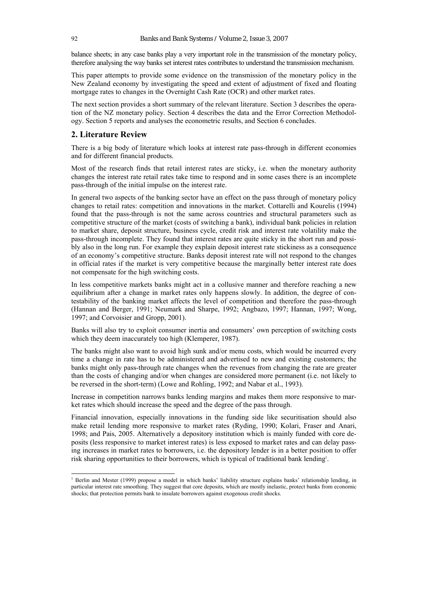balance sheets; in any case banks play a very important role in the transmission of the monetary policy, therefore analysing the way banks set interest rates contributes to understand the transmission mechanism.

This paper attempts to provide some evidence on the transmission of the monetary policy in the New Zealand economy by investigating the speed and extent of adjustment of fixed and floating mortgage rates to changes in the Overnight Cash Rate (OCR) and other market rates.

The next section provides a short summary of the relevant literature. Section 3 describes the operation of the NZ monetary policy. Section 4 describes the data and the Error Correction Methodology. Section 5 reports and analyses the econometric results, and Section 6 concludes.

#### **2. Literature Review**

There is a big body of literature which looks at interest rate pass-through in different economies and for different financial products.

Most of the research finds that retail interest rates are sticky, i.e. when the monetary authority changes the interest rate retail rates take time to respond and in some cases there is an incomplete pass-through of the initial impulse on the interest rate.

In general two aspects of the banking sector have an effect on the pass through of monetary policy changes to retail rates: competition and innovations in the market. Cottarelli and Kourelis (1994) found that the pass-through is not the same across countries and structural parameters such as competitive structure of the market (costs of switching a bank), individual bank policies in relation to market share, deposit structure, business cycle, credit risk and interest rate volatility make the pass-through incomplete. They found that interest rates are quite sticky in the short run and possibly also in the long run. For example they explain deposit interest rate stickiness as a consequence of an economy's competitive structure. Banks deposit interest rate will not respond to the changes in official rates if the market is very competitive because the marginally better interest rate does not compensate for the high switching costs.

In less competitive markets banks might act in a collusive manner and therefore reaching a new equilibrium after a change in market rates only happens slowly. In addition, the degree of contestability of the banking market affects the level of competition and therefore the pass-through (Hannan and Berger, 1991; Neumark and Sharpe, 1992; Angbazo, 1997; Hannan, 1997; Wong, 1997; and Corvoisier and Gropp, 2001).

Banks will also try to exploit consumer inertia and consumers' own perception of switching costs which they deem inaccurately too high (Klemperer, 1987).

The banks might also want to avoid high sunk and/or menu costs, which would be incurred every time a change in rate has to be administered and advertised to new and existing customers; the banks might only pass-through rate changes when the revenues from changing the rate are greater than the costs of changing and/or when changes are considered more permanent (i.e. not likely to be reversed in the short-term) (Lowe and Rohling, 1992; and Nabar et al., 1993).

Increase in competition narrows banks lending margins and makes them more responsive to market rates which should increase the speed and the degree of the pass through.

Financial innovation, especially innovations in the funding side like securitisation should also make retail lending more responsive to market rates (Ryding, 1990; Kolari, Fraser and Anari, 1998; and Pais, 2005. Alternatively a depository institution which is mainly funded with core deposits (less responsive to market interest rates) is less exposed to market rates and can delay passing increases in market rates to borrowers, i.e. the depository lender is in a better position to offer risk sharing opportunities to their borrowers, which is typical of traditional bank lending<sup>1</sup>.

<sup>1&</sup>lt;br><sup>1</sup> Berlin and Mester (1999) propose a model in which banks' liability structure explains banks' relationship lending, in particular interest rate smoothing. They suggest that core deposits, which are mostly inelastic, protect banks from economic shocks; that protection permits bank to insulate borrowers against exogenous credit shocks.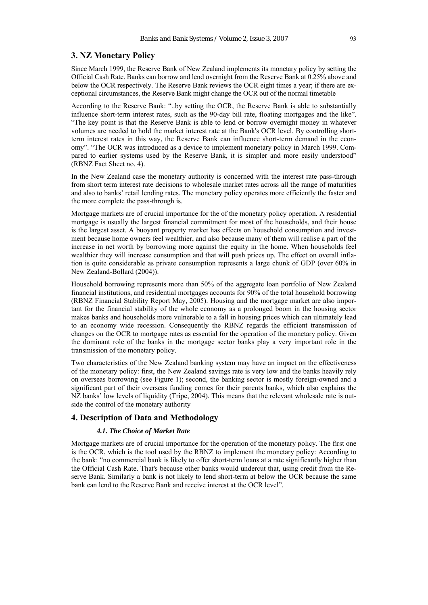# **3. NZ Monetary Policy**

Since March 1999, the Reserve Bank of New Zealand implements its monetary policy by setting the Official Cash Rate. Banks can borrow and lend overnight from the Reserve Bank at 0.25% above and below the OCR respectively. The Reserve Bank reviews the OCR eight times a year; if there are exceptional circumstances, the Reserve Bank might change the OCR out of the normal timetable

According to the Reserve Bank: "..by setting the OCR, the Reserve Bank is able to substantially influence short-term interest rates, such as the 90-day bill rate, floating mortgages and the like". "The key point is that the Reserve Bank is able to lend or borrow overnight money in whatever volumes are needed to hold the market interest rate at the Bank's OCR level. By controlling shortterm interest rates in this way, the Reserve Bank can influence short-term demand in the economy". "The OCR was introduced as a device to implement monetary policy in March 1999. Compared to earlier systems used by the Reserve Bank, it is simpler and more easily understood" (RBNZ Fact Sheet no. 4).

In the New Zealand case the monetary authority is concerned with the interest rate pass-through from short term interest rate decisions to wholesale market rates across all the range of maturities and also to banks' retail lending rates. The monetary policy operates more efficiently the faster and the more complete the pass-through is.

Mortgage markets are of crucial importance for the of the monetary policy operation. A residential mortgage is usually the largest financial commitment for most of the households, and their house is the largest asset. A buoyant property market has effects on household consumption and investment because home owners feel wealthier, and also because many of them will realise a part of the increase in net worth by borrowing more against the equity in the home. When households feel wealthier they will increase consumption and that will push prices up. The effect on overall inflation is quite considerable as private consumption represents a large chunk of GDP (over 60% in New Zealand-Bollard (2004)).

Household borrowing represents more than 50% of the aggregate loan portfolio of New Zealand financial institutions, and residential mortgages accounts for 90% of the total household borrowing (RBNZ Financial Stability Report May, 2005). Housing and the mortgage market are also important for the financial stability of the whole economy as a prolonged boom in the housing sector makes banks and households more vulnerable to a fall in housing prices which can ultimately lead to an economy wide recession. Consequently the RBNZ regards the efficient transmission of changes on the OCR to mortgage rates as essential for the operation of the monetary policy. Given the dominant role of the banks in the mortgage sector banks play a very important role in the transmission of the monetary policy.

Two characteristics of the New Zealand banking system may have an impact on the effectiveness of the monetary policy: first, the New Zealand savings rate is very low and the banks heavily rely on overseas borrowing (see Figure 1); second, the banking sector is mostly foreign-owned and a significant part of their overseas funding comes for their parents banks, which also explains the NZ banks' low levels of liquidity (Tripe, 2004). This means that the relevant wholesale rate is outside the control of the monetary authority

#### **4. Description of Data and Methodology**

#### *4.1. The Choice of Market Rate*

Mortgage markets are of crucial importance for the operation of the monetary policy. The first one is the OCR, which is the tool used by the RBNZ to implement the monetary policy: According to the bank: "no commercial bank is likely to offer short-term loans at a rate significantly higher than the Official Cash Rate. That's because other banks would undercut that, using credit from the Reserve Bank. Similarly a bank is not likely to lend short-term at below the OCR because the same bank can lend to the Reserve Bank and receive interest at the OCR level".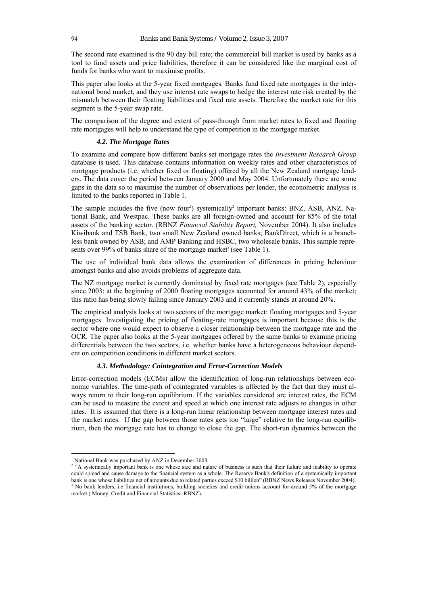The second rate examined is the 90 day bill rate; the commercial bill market is used by banks as a tool to fund assets and price liabilities, therefore it can be considered like the marginal cost of funds for banks who want to maximise profits.

This paper also looks at the 5-year fixed mortgages. Banks fund fixed rate mortgages in the international bond market, and they use interest rate swaps to hedge the interest rate risk created by the mismatch between their floating liabilities and fixed rate assets. Therefore the market rate for this segment is the 5-year swap rate.

The comparison of the degree and extent of pass-through from market rates to fixed and floating rate mortgages will help to understand the type of competition in the mortgage market.

#### *4.2. The Mortgage Rates*

To examine and compare how different banks set mortgage rates the *Investment Research Group* database is used. This database contains information on weekly rates and other characteristics of mortgage products (i.e. whether fixed or floating) offered by all the New Zealand mortgage lenders. The data cover the period between January 2000 and May 2004. Unfortunately there are some gaps in the data so to maximise the number of observations per lender, the econometric analysis is limited to the banks reported in Table 1.

The sample includes the five (now four<sup>1</sup>) systemically<sup>2</sup> important banks: BNZ, ASB, ANZ, National Bank, and Westpac. These banks are all foreign-owned and account for 85% of the total assets of the banking sector. (RBNZ *Financial Stability Report,* November 2004). It also includes Kiwibank and TSB Bank, two small New Zealand owned banks; BankDirect, which is a branchless bank owned by ASB; and AMP Banking and HSBC, two wholesale banks. This sample represents over 99% of banks share of the mortgage market<sup>3</sup> (see Table 1).

The use of individual bank data allows the examination of differences in pricing behaviour amongst banks and also avoids problems of aggregate data.

The NZ mortgage market is currently dominated by fixed rate mortgages (see Table 2), especially since 2003: at the beginning of 2000 floating mortgages accounted for around 43% of the market; this ratio has being slowly falling since January 2003 and it currently stands at around 20%.

The empirical analysis looks at two sectors of the mortgage market: floating mortgages and 5-year mortgages. Investigating the pricing of floating-rate mortgages is important because this is the sector where one would expect to observe a closer relationship between the mortgage rate and the OCR. The paper also looks at the 5-year mortgages offered by the same banks to examine pricing differentials between the two sectors, i.e. whether banks have a heterogeneous behaviour dependent on competition conditions in different market sectors.

#### *4.3. Methodology: Cointegration and Error-Correction Models*

Error-correction models (ECMs) allow the identification of long-run relationships between economic variables. The time-path of cointegrated variables is affected by the fact that they must always return to their long-run equilibrium. If the variables considered are interest rates, the ECM can be used to measure the extent and speed at which one interest rate adjusts to changes in other rates. It is assumed that there is a long-run linear relationship between mortgage interest rates and the market rates. If the gap between those rates gets too "large" relative to the long-run equilibrium, then the mortgage rate has to change to close the gap. The short-run dynamics between the

 $\overline{a}$ 

<sup>&</sup>lt;sup>1</sup> National Bank was purchased by ANZ in December 2003.

<sup>&</sup>lt;sup>2</sup> "A systemically important bank is one whose size and nature of business is such that their failure and inability to operate could spread and cause damage to the financial system as a whole. The Reserve Bank's definition of a systemically important bank is one whose liabilities net of amounts due to related parties exceed \$10 billion" (RBNZ News Releases November 2004). No bank lenders, i.e financial institutions, building societies and credit unions account for around 5% of the mortgage market ( Money, Credit and Financial Statistics- RBNZ).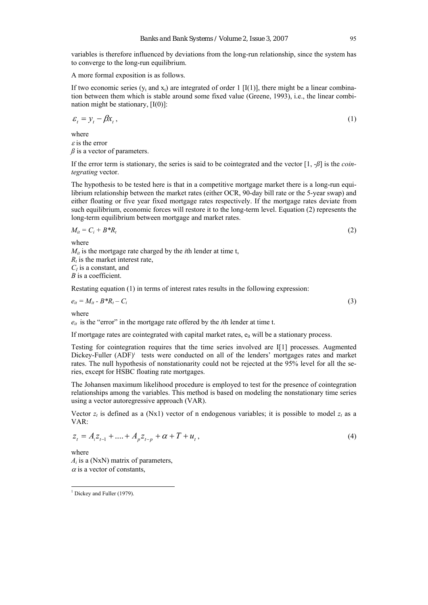variables is therefore influenced by deviations from the long-run relationship, since the system has to converge to the long-run equilibrium.

A more formal exposition is as follows.

If two economic series  $(y_t \text{ and } x_t)$  are integrated of order 1 [I(1)], there might be a linear combination between them which is stable around some fixed value (Greene, 1993), i.e., the linear combination might be stationary,  $[I(0)]$ :

$$
\varepsilon_t = y_t - \beta x_t, \tag{1}
$$

where  $\epsilon$  is the error  $\beta$  is a vector of parameters.

If the error term is stationary, the series is said to be cointegrated and the vector [1, -*ß*] is the *cointegrating* vector.

The hypothesis to be tested here is that in a competitive mortgage market there is a long-run equilibrium relationship between the market rates (either OCR, 90-day bill rate or the 5-year swap) and either floating or five year fixed mortgage rates respectively. If the mortgage rates deviate from such equilibrium, economic forces will restore it to the long-term level. Equation (2) represents the long-term equilibrium between mortgage and market rates.

$$
M_{it} = C_i + B^* R_t \tag{2}
$$

where

 $M_{it}$  is the mortgage rate charged by the *i*th lender at time t,  $R_t$  is the market interest rate, *CI* is a constant, and *B* is a coefficient.

Restating equation (1) in terms of interest rates results in the following expression:

 $e_{it} = M_{it} - B^* R_t - C_i$  (3)

where

 $e_{it}$  is the "error" in the mortgage rate offered by the *i*th lender at time t.

If mortgage rates are cointegrated with capital market rates,  $e_{it}$  will be a stationary process.

Testing for cointegration requires that the time series involved are I[1] processes. Augmented Dickey-Fuller (ADF)<sup>1</sup> tests were conducted on all of the lenders' mortgages rates and market rates. The null hypothesis of nonstationarity could not be rejected at the 95% level for all the series, except for HSBC floating rate mortgages.

The Johansen maximum likelihood procedure is employed to test for the presence of cointegration relationships among the variables. This method is based on modeling the nonstationary time series using a vector autoregressive approach (VAR).

Vector  $z_t$  is defined as a (Nx1) vector of n endogenous variables; it is possible to model  $z_t$  as a VAR:

$$
z_t = A_1 z_{t-1} + \dots + A_p z_{t-p} + \alpha + T + u_t, \tag{4}
$$

where *Ai* is a (NxN) matrix of parameters,  $\alpha$  is a vector of constants,

 $\overline{a}$ 

<sup>&</sup>lt;sup>1</sup> Dickey and Fuller (1979).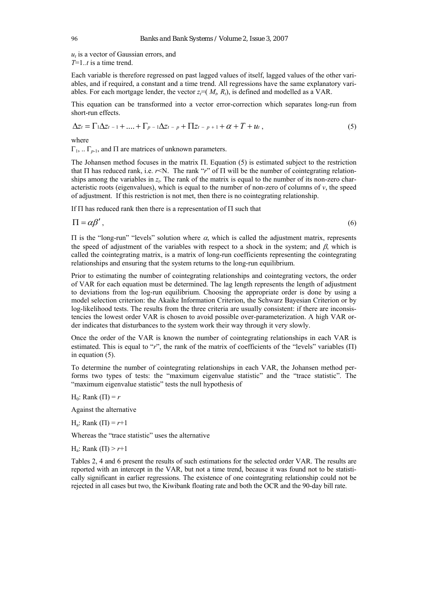*ut* is a vector of Gaussian errors, and *T*=1*..t* is a time trend.

Each variable is therefore regressed on past lagged values of itself, lagged values of the other variables, and if required, a constant and a time trend. All regressions have the same explanatory variables. For each mortgage lender, the vector  $z_i = (M_i, R_i)$ , is defined and modelled as a VAR.

This equation can be transformed into a vector error-correction which separates long-run from short-run effects.

$$
\Delta z_t = \Gamma_1 \Delta z_{t-1} + \dots + \Gamma_{p-1} \Delta z_{t-p} + \Pi z_{t-p+1} + \alpha + T + u_t, \tag{5}
$$

where

 $\Gamma_1$ ,  $\Gamma_{p-1}$ , and  $\Pi$  are matrices of unknown parameters.

The Johansen method focuses in the matrix Π. Equation (5) is estimated subject to the restriction that  $\Pi$  has reduced rank, i.e.  $r<\mathbb{N}$ . The rank " $r$ " of  $\Pi$  will be the number of cointegrating relationships among the variables in  $z<sub>t</sub>$ . The rank of the matrix is equal to the number of its non-zero characteristic roots (eigenvalues), which is equal to the number of non-zero of columns of  $v$ , the speed of adjustment. If this restriction is not met, then there is no cointegrating relationship.

If  $\Pi$  has reduced rank then there is a representation of  $\Pi$  such that

 $\Pi = \alpha \beta'$ , (6)

Π is the "long-run" "levels" solution where α, which is called the adjustment matrix, represents the speed of adjustment of the variables with respect to a shock in the system; and  $\beta$ , which is called the cointegrating matrix, is a matrix of long-run coefficients representing the cointegrating relationships and ensuring that the system returns to the long-run equilibrium.

Prior to estimating the number of cointegrating relationships and cointegrating vectors, the order of VAR for each equation must be determined. The lag length represents the length of adjustment to deviations from the log-run equilibrium. Choosing the appropriate order is done by using a model selection criterion: the Akaike Information Criterion, the Schwarz Bayesian Criterion or by log-likelihood tests. The results from the three criteria are usually consistent: if there are inconsistencies the lowest order VAR is chosen to avoid possible over-parameterization. A high VAR order indicates that disturbances to the system work their way through it very slowly.

Once the order of the VAR is known the number of cointegrating relationships in each VAR is estimated. This is equal to "*r*", the rank of the matrix of coefficients of the "levels" variables (Π) in equation (5).

To determine the number of cointegrating relationships in each VAR, the Johansen method performs two types of tests: the "maximum eigenvalue statistic" and the "trace statistic". The "maximum eigenvalue statistic" tests the null hypothesis of

H<sub>0</sub>: Rank  $(\Pi) = r$ 

Against the alternative

H<sub>a</sub>: Rank  $(\Pi) = r+1$ 

Whereas the "trace statistic" uses the alternative

H<sub>a</sub>: Rank (Π) >  $r+1$ 

Tables 2, 4 and 6 present the results of such estimations for the selected order VAR. The results are reported with an intercept in the VAR, but not a time trend, because it was found not to be statistically significant in earlier regressions. The existence of one cointegrating relationship could not be rejected in all cases but two, the Kiwibank floating rate and both the OCR and the 90-day bill rate.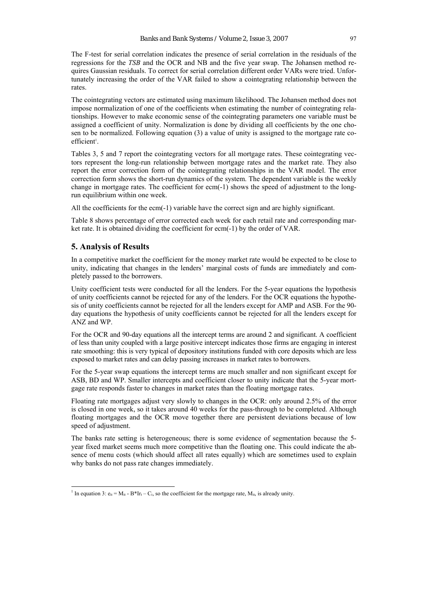The F-test for serial correlation indicates the presence of serial correlation in the residuals of the regressions for the *TSB* and the OCR and NB and the five year swap. The Johansen method requires Gaussian residuals. To correct for serial correlation different order VARs were tried. Unfortunately increasing the order of the VAR failed to show a cointegrating relationship between the rates.

The cointegrating vectors are estimated using maximum likelihood. The Johansen method does not impose normalization of one of the coefficients when estimating the number of cointegrating relationships. However to make economic sense of the cointegrating parameters one variable must be assigned a coefficient of unity. Normalization is done by dividing all coefficients by the one chosen to be normalized. Following equation (3) a value of unity is assigned to the mortgage rate coefficient<sup>1</sup>.

Tables 3, 5 and 7 report the cointegrating vectors for all mortgage rates. These cointegrating vectors represent the long-run relationship between mortgage rates and the market rate. They also report the error correction form of the cointegrating relationships in the VAR model. The error correction form shows the short-run dynamics of the system. The dependent variable is the weekly change in mortgage rates. The coefficient for ecm(-1) shows the speed of adjustment to the longrun equilibrium within one week.

All the coefficients for the ecm(-1) variable have the correct sign and are highly significant.

Table 8 shows percentage of error corrected each week for each retail rate and corresponding market rate. It is obtained dividing the coefficient for ecm(-1) by the order of VAR.

#### **5. Analysis of Results**

 $\overline{a}$ 

In a competitive market the coefficient for the money market rate would be expected to be close to unity, indicating that changes in the lenders' marginal costs of funds are immediately and completely passed to the borrowers.

Unity coefficient tests were conducted for all the lenders. For the 5-year equations the hypothesis of unity coefficients cannot be rejected for any of the lenders. For the OCR equations the hypothesis of unity coefficients cannot be rejected for all the lenders except for AMP and ASB. For the 90 day equations the hypothesis of unity coefficients cannot be rejected for all the lenders except for ANZ and WP.

For the OCR and 90-day equations all the intercept terms are around 2 and significant. A coefficient of less than unity coupled with a large positive intercept indicates those firms are engaging in interest rate smoothing: this is very typical of depository institutions funded with core deposits which are less exposed to market rates and can delay passing increases in market rates to borrowers.

For the 5-year swap equations the intercept terms are much smaller and non significant except for ASB, BD and WP. Smaller intercepts and coefficient closer to unity indicate that the 5-year mortgage rate responds faster to changes in market rates than the floating mortgage rates.

Floating rate mortgages adjust very slowly to changes in the OCR: only around 2.5% of the error is closed in one week, so it takes around 40 weeks for the pass-through to be completed. Although floating mortgages and the OCR move together there are persistent deviations because of low speed of adjustment.

The banks rate setting is heterogeneous; there is some evidence of segmentation because the 5 year fixed market seems much more competitive than the floating one. This could indicate the absence of menu costs (which should affect all rates equally) which are sometimes used to explain why banks do not pass rate changes immediately.

<sup>&</sup>lt;sup>1</sup> In equation 3:  $e_{it} = M_{it} - B^*Ir_t - C_i$ , so the coefficient for the mortgage rate,  $M_{it}$ , is already unity.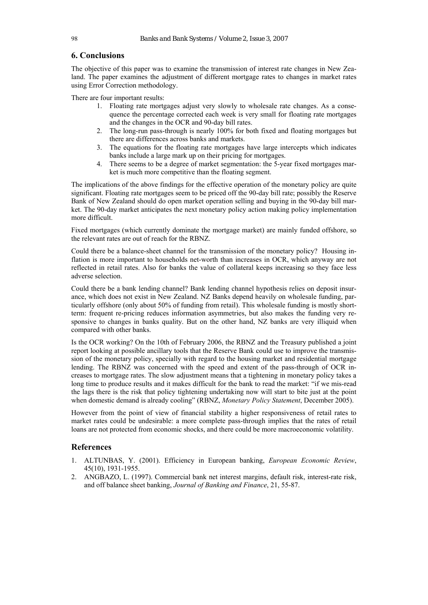# **6. Conclusions**

The objective of this paper was to examine the transmission of interest rate changes in New Zealand. The paper examines the adjustment of different mortgage rates to changes in market rates using Error Correction methodology.

There are four important results:

- 1. Floating rate mortgages adjust very slowly to wholesale rate changes. As a consequence the percentage corrected each week is very small for floating rate mortgages and the changes in the OCR and 90-day bill rates.
- 2. The long-run pass-through is nearly 100% for both fixed and floating mortgages but there are differences across banks and markets.
- 3. The equations for the floating rate mortgages have large intercepts which indicates banks include a large mark up on their pricing for mortgages.
- 4. There seems to be a degree of market segmentation: the 5-year fixed mortgages market is much more competitive than the floating segment.

The implications of the above findings for the effective operation of the monetary policy are quite significant. Floating rate mortgages seem to be priced off the 90-day bill rate; possibly the Reserve Bank of New Zealand should do open market operation selling and buying in the 90-day bill market. The 90-day market anticipates the next monetary policy action making policy implementation more difficult.

Fixed mortgages (which currently dominate the mortgage market) are mainly funded offshore, so the relevant rates are out of reach for the RBNZ.

Could there be a balance-sheet channel for the transmission of the monetary policy? Housing inflation is more important to households net-worth than increases in OCR, which anyway are not reflected in retail rates. Also for banks the value of collateral keeps increasing so they face less adverse selection.

Could there be a bank lending channel? Bank lending channel hypothesis relies on deposit insurance, which does not exist in New Zealand. NZ Banks depend heavily on wholesale funding, particularly offshore (only about 50% of funding from retail). This wholesale funding is mostly shortterm: frequent re-pricing reduces information asymmetries, but also makes the funding very responsive to changes in banks quality. But on the other hand, NZ banks are very illiquid when compared with other banks.

Is the OCR working? On the 10th of February 2006, the RBNZ and the Treasury published a joint report looking at possible ancillary tools that the Reserve Bank could use to improve the transmission of the monetary policy, specially with regard to the housing market and residential mortgage lending. The RBNZ was concerned with the speed and extent of the pass-through of OCR increases to mortgage rates. The slow adjustment means that a tightening in monetary policy takes a long time to produce results and it makes difficult for the bank to read the market: "if we mis-read the lags there is the risk that policy tightening undertaking now will start to bite just at the point when domestic demand is already cooling" (RBNZ, *Monetary Policy Statement*, December 2005).

However from the point of view of financial stability a higher responsiveness of retail rates to market rates could be undesirable: a more complete pass-through implies that the rates of retail loans are not protected from economic shocks, and there could be more macroeconomic volatility.

#### **References**

- 1. ALTUNBAS, Y. (2001). Efficiency in European banking, *European Economic Review*, 45(10), 1931-1955.
- 2. ANGBAZO, L. (1997). Commercial bank net interest margins, default risk, interest-rate risk, and off balance sheet banking, *Journal of Banking and Finance*, 21, 55-87.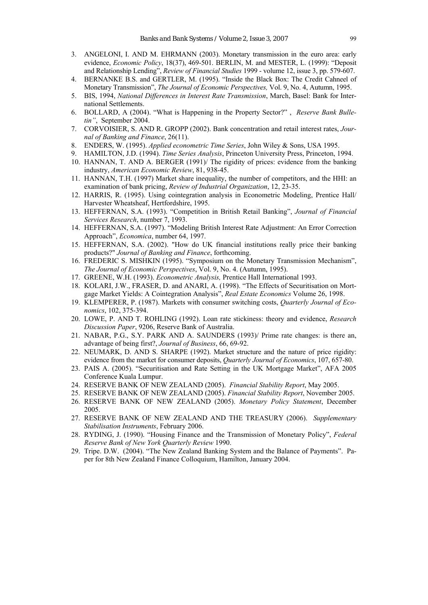- 3. ANGELONI, I. AND M. EHRMANN (2003). Monetary transmission in the euro area: early evidence, *Economic Policy*, 18(37), 469-501. BERLIN, M. and MESTER, L. (1999): "Deposit and Relationship Lending", *Review of Financial Studies* 1999 - volume 12, issue 3, pp. 579-607.
- 4. BERNANKE B.S. and GERTLER, M. (1995). "Inside the Black Box: The Credit Cahneel of Monetary Transmission", *The Journal of Economic Perspectives,* Vol. 9, No. 4, Autumn, 1995.
- 5. BIS, 1994, *National Differences in Interest Rate Transmission*, March, Basel: Bank for International Settlements.
- 6. BOLLARD, A (2004). "What is Happening in the Property Sector?" , *Reserve Bank Bulletin"*,September 2004.
- 7. CORVOISIER, S. AND R. GROPP (2002). Bank concentration and retail interest rates, *Journal of Banking and Finance*, 26(11).
- 8. ENDERS, W. (1995). *Applied econometric Time Series*, John Wiley & Sons, USA 1995.
- 9. HAMILTON, J.D. (1994). *Time Series Analysis*, Princeton University Press, Princeton, 1994.
- 10. HANNAN, T. AND A. BERGER (1991)/ The rigidity of prices: evidence from the banking industry, *American Economic Review*, 81, 938-45.
- 11. HANNAN, T.H. (1997) Market share inequality, the number of competitors, and the HHI: an examination of bank pricing, *Review of Industrial Organization*, 12, 23-35.
- 12. HARRIS, R. (1995). Using cointegration analysis in Econometric Modeling, Prentice Hall/ Harvester Wheatsheaf, Hertfordshire, 1995.
- 13. HEFFERNAN, S.A. (1993). "Competition in British Retail Banking", *Journal of Financial Services Research*, number 7, 1993.
- 14. HEFFERNAN, S.A. (1997). "Modeling British Interest Rate Adjustment: An Error Correction Approach", *Economica*, number 64, 1997.
- 15. HEFFERNAN, S.A. (2002). "How do UK financial institutions really price their banking products?" *Journal of Banking and Finance*, forthcoming.
- 16. FREDERIC S. MISHKIN (1995). "Symposium on the Monetary Transmission Mechanism", *The Journal of Economic Perspectives*, Vol. 9, No. 4. (Autumn, 1995).
- 17. GREENE, W.H. (1993). *Econometric Analysis,* Prentice Hall International 1993.
- 18. KOLARI, J.W., FRASER, D. and ANARI, A. (1998). "The Effects of Securitisation on Mortgage Market Yields: A Cointegration Analysis", *Real Estate Economics* Volume 26, 1998.
- 19. KLEMPERER, P. (1987). Markets with consumer switching costs, *Quarterly Journal of Economics*, 102, 375-394.
- 20. LOWE, P. AND T. ROHLING (1992). Loan rate stickiness: theory and evidence, *Research Discussion Paper*, 9206, Reserve Bank of Australia.
- 21. NABAR, P.G., S.Y. PARK AND A. SAUNDERS (1993)/ Prime rate changes: is there an, advantage of being first?, *Journal of Business*, 66, 69-92.
- 22. NEUMARK, D. AND S. SHARPE (1992). Market structure and the nature of price rigidity: evidence from the market for consumer deposits, *Quarterly Journal of Economics*, 107, 657-80.
- 23. PAIS A. (2005). "Securitisation and Rate Setting in the UK Mortgage Market", AFA 2005 Conference Kuala Lumpur.
- 24. RESERVE BANK OF NEW ZEALAND (2005). *Financial Stability Report*, May 2005.
- 25. RESERVE BANK OF NEW ZEALAND (2005). *Financial Stability Report*, November 2005.
- 26. RESERVE BANK OF NEW ZEALAND (2005). *Monetary Policy Statement*, December 2005.
- 27. RESERVE BANK OF NEW ZEALAND AND THE TREASURY (2006). *Supplementary Stabilisation Instruments*, February 2006.
- 28. RYDING, J. (1990). "Housing Finance and the Transmission of Monetary Policy", *Federal Reserve Bank of New York Quarterly Review* 1990.
- 29. Tripe. D.W. (2004). "The New Zealand Banking System and the Balance of Payments". Paper for 8th New Zealand Finance Colloquium, Hamilton, January 2004.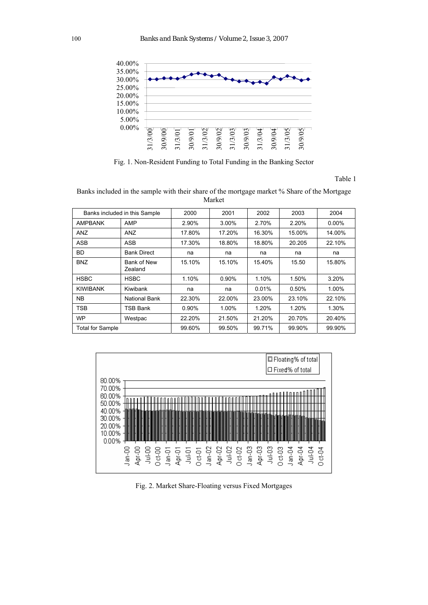

Fig. 1. Non-Resident Funding to Total Funding in the Banking Sector

Table 1

Banks included in the sample with their share of the mortgage market % Share of the Mortgage Market

| Banks included in this Sample |                        | 2000     | 2001     | 2002   | 2003   | 2004     |
|-------------------------------|------------------------|----------|----------|--------|--------|----------|
| <b>AMPBANK</b>                | AMP                    | 2.90%    | $3.00\%$ | 2.70%  | 2.20%  | $0.00\%$ |
| <b>ANZ</b>                    | <b>ANZ</b>             | 17.80%   | 17.20%   | 16.30% | 15.00% | 14.00%   |
| <b>ASB</b>                    | <b>ASB</b>             | 17.30%   | 18.80%   | 18.80% | 20.205 | 22.10%   |
| <b>BD</b>                     | <b>Bank Direct</b>     | na       | na       | na     | na     | na       |
| <b>BNZ</b>                    | Bank of New<br>Zealand | 15.10%   | 15.10%   | 15.40% | 15.50  | 15.80%   |
| <b>HSBC</b>                   | <b>HSBC</b>            | 1.10%    | 0.90%    | 1.10%  | 1.50%  | 3.20%    |
| <b>KIWIBANK</b>               | Kiwibank               | na       | na       | 0.01%  | 0.50%  | 1.00%    |
| <b>NB</b>                     | National Bank          | 22.30%   | 22.00%   | 23.00% | 23.10% | 22.10%   |
| TSB                           | TSB Bank               | $0.90\%$ | 1.00%    | 1.20%  | 1.20%  | 1.30%    |
| <b>WP</b>                     | Westpac                | 22.20%   | 21.50%   | 21.20% | 20.70% | 20.40%   |
| <b>Total for Sample</b>       |                        | 99.60%   | 99.50%   | 99.71% | 99.90% | 99.90%   |



Fig. 2. Market Share-Floating versus Fixed Mortgages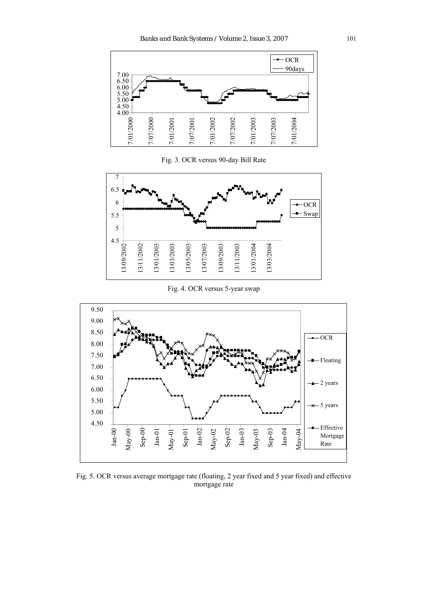

Fig. 3. OCR versus 90-day Bill Rate



Fig. 4. OCR versus 5-year swap



Fig. 5. OCR versus average mortgage rate (floating, 2 year fixed and 5 year fixed) and effective mortgage rate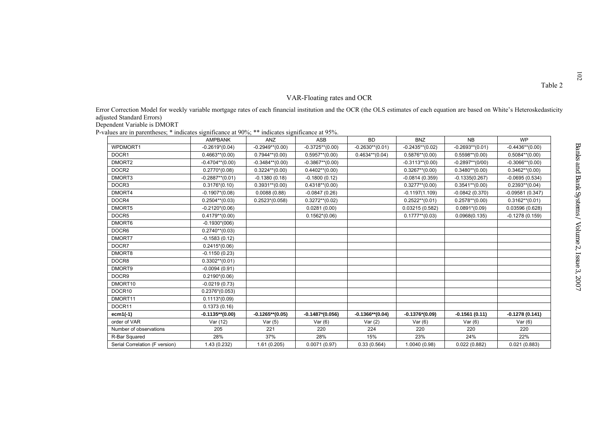102

| Error Correction Model for weekly variable mortgage rates of each financial institution and the OCR (the OLS estimates of each equation are based on White's Heteroskedasticity |                    |                    |                    |                    |                    |                    |                    |
|---------------------------------------------------------------------------------------------------------------------------------------------------------------------------------|--------------------|--------------------|--------------------|--------------------|--------------------|--------------------|--------------------|
| adjusted Standard Errors)                                                                                                                                                       |                    |                    |                    |                    |                    |                    |                    |
| Dependent Variable is DMORT                                                                                                                                                     |                    |                    |                    |                    |                    |                    |                    |
| P-values are in parentheses; * indicates significance at 90%; ** indicates significance at 95%.                                                                                 |                    |                    |                    |                    |                    |                    |                    |
|                                                                                                                                                                                 | <b>AMPBANK</b>     | ANZ                | <b>ASB</b>         | <b>BD</b>          | <b>BNZ</b>         | <b>NB</b>          | <b>WP</b>          |
| WPDMORT1                                                                                                                                                                        | $-0.2619*(0.04)$   | $-0.2949**$ (0.00) | $-0.3725**$ (0.00) | $-0.2630**$ (0.01) | $-0.2435**$ (0.02) | $-0.2693**$ (0.01) | $-0.4436**$ (0.00) |
| DOCR1                                                                                                                                                                           | $0.4663**$ (0.00)  | $0.7944**$ (0.00)  | $0.5957**$ (0.00)  | $0.4634**$ (0.04)  | $0.5876**$ (0.00)  | $0.5598**$ (0.00)  | $0.5084**$ (0.00)  |
| DMORT2                                                                                                                                                                          | $-0.4704**$ (0.00) | $-0.3484**$ (0.00) | $-0.3867**$ (0.00) |                    | $-0.3113**$ (0.00) | $-0.2897**$ (0/00) | $-0.3066**$ (0.00) |
| DOCR <sub>2</sub>                                                                                                                                                               | $0.2770*(0.08)$    | $0.3224**$ (0.00)  | $0.4402**$ (0.00)  |                    | $0.3267**$ (0.00)  | $0.3480**$ (0.00)  | $0.3462**$ (0.00)  |
| DMORT3                                                                                                                                                                          | $-0.2887**$ (0.01) | $-0.1380(0.18)$    | $-0.1800(0.12)$    |                    | $-0.0814(0.359)$   | $-0.1335(0.267)$   | $-0.0695(0.534)$   |
| DOCR3                                                                                                                                                                           | $0.3176*(0.10)$    | $0.3931**$ (0.00)  | $0.4318**$ (0.00)  |                    | $0.3277**$ (0.00)  | $0.3541**$ (0.00)  | $0.2393**$ (0.04)  |
| DMORT4                                                                                                                                                                          | $-0.1907*(0.08)$   | 0.0088(0.88)       | $-0.0847(0.26)$    |                    | $-0.1197(1.109)$   | $-0.0842(0.370)$   | $-0.09581(0.347)$  |
| DOCR4                                                                                                                                                                           | $0.2504**$ (0.03)  | $0.2523*(0.058)$   | $0.3272**$ (0.02)  |                    | $0.2522**$ (0.01)  | $0.2578**$ (0.00)  | $0.3162**$ (0.01)  |
| DMORT5                                                                                                                                                                          | $-0.2120*(0.06)$   |                    | 0.0281(0.00)       |                    | 0.03215(0.582)     | $0.0891*(0.09)$    | 0.03596(0.628)     |
| DOCR5                                                                                                                                                                           | $0.4179**$ (0.00)  |                    | $0.1562*(0.06)$    |                    | $0.1777**$ (0.03)  | 0.0968(0.135)      | $-0.1278(0.159)$   |
| DMORT6                                                                                                                                                                          | $-0.1930*(006)$    |                    |                    |                    |                    |                    |                    |
| DOCR6                                                                                                                                                                           | $0.2740**$ (0.03)  |                    |                    |                    |                    |                    |                    |
| DMORT7                                                                                                                                                                          | $-0.1583(0.12)$    |                    |                    |                    |                    |                    |                    |
| DOCR7                                                                                                                                                                           | $0.2415*(0.06)$    |                    |                    |                    |                    |                    |                    |
| DMORT8                                                                                                                                                                          | $-0.1150(0.23)$    |                    |                    |                    |                    |                    |                    |
| DOCR8                                                                                                                                                                           | $0.3302**$ (0.01)  |                    |                    |                    |                    |                    |                    |
| DMORT9                                                                                                                                                                          | $-0.0094(0.91)$    |                    |                    |                    |                    |                    |                    |
| DOCR9                                                                                                                                                                           | $0.2190*(0.06)$    |                    |                    |                    |                    |                    |                    |
| DMORT10                                                                                                                                                                         | $-0.0219(0.73)$    |                    |                    |                    |                    |                    |                    |
| DOCR10                                                                                                                                                                          | $0.2376*(0.053)$   |                    |                    |                    |                    |                    |                    |
| DMORT11                                                                                                                                                                         | $0.1113*(0.09)$    |                    |                    |                    |                    |                    |                    |
| DOCR11                                                                                                                                                                          | 0.1373(0.16)       |                    |                    |                    |                    |                    |                    |
| $ecm1(-1)$                                                                                                                                                                      | $-0.1135**$ (0.00) | $-0.1265**$ (0.05) | $-0.1487*(0.056)$  | $-0.1366**$ (0.04) | $-0.1376*(0.09)$   | $-0.1561(0.11)$    | $-0.1278(0.141)$   |
| order of VAR                                                                                                                                                                    | Var (12)           | Var(5)             | Var $(6)$          | Var(2)             | Var $(6)$          | Var $(6)$          | Var $(6)$          |
| Number of observations                                                                                                                                                          | 205                | 221                | 220                | 224                | 220                | 220                | 220                |
| R-Bar Squared                                                                                                                                                                   | 28%                | 37%                | 28%                | 15%                | 23%                | 24%                | 22%                |
| Serial Correlation (F version)                                                                                                                                                  | 1.43(0.232)        | 1.61(0.205)        | 0.0071(0.97)       | 0.33(0.564)        | 1.0040 (0.98)      | 0.022(0.882)       | 0.021(0.883)       |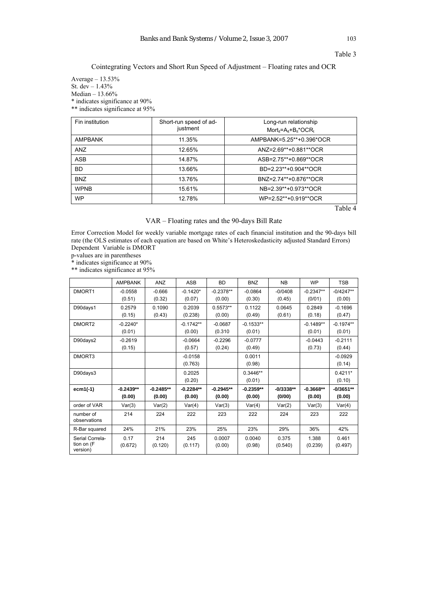# Cointegrating Vectors and Short Run Speed of Adjustment – Floating rates and OCR

Average – 13.53% St. dev – 1.43% Median – 13.66% \* indicates significance at 90% \*\* indicates significance at 95%

| Fin institution | Short-run speed of ad-<br>justment | Long-run relationship<br>$Mort_{it} = A_{it} + B_{it} * OCR_t$ |
|-----------------|------------------------------------|----------------------------------------------------------------|
| AMPBANK         | 11.35%                             | AMPBANK=5.25**+0.396*OCR                                       |
| <b>ANZ</b>      | 12.65%                             | ANZ=2.69**+0.881**OCR                                          |
| ASB             | 14.87%                             | ASB=2.75**+0.869**OCR                                          |
| <b>BD</b>       | 13.66%                             | BD=2.23**+0.904**OCR                                           |
| <b>BNZ</b>      | 13.76%                             | BNZ=2.74**+0.876**OCR                                          |
| <b>WPNB</b>     | 15.61%                             | NB=2.39**+0.973**OCR                                           |
| <b>WP</b>       | 12.78%                             | WP=2.52**+0.919**OCR                                           |

Table 4

# VAR – Floating rates and the 90-days Bill Rate

Error Correction Model for weekly variable mortgage rates of each financial institution and the 90-days bill rate (the OLS estimates of each equation are based on White's Heteroskedasticity adjusted Standard Errors) Dependent Variable is DMORT

p-values are in parentheses

\* indicates significance at 90%

\*\* indicates significance at 95%

|                                           | <b>AMPBANK</b>        | <b>ANZ</b>            | <b>ASB</b>            | <b>BD</b>             | <b>BNZ</b>            | <b>NB</b>             | <b>WP</b>             | <b>TSB</b>            |
|-------------------------------------------|-----------------------|-----------------------|-----------------------|-----------------------|-----------------------|-----------------------|-----------------------|-----------------------|
| DMORT1                                    | $-0.0558$<br>(0.51)   | $-0.666$<br>(0.32)    | $-0.1420*$<br>(0.07)  | $-0.2378**$<br>(0.00) | $-0.0864$<br>(0.30)   | $-0/0408$<br>(0.45)   | $-0.2347**$<br>(0/01) | $-0/4247**$<br>(0.00) |
| D90days1                                  | 0.2579<br>(0.15)      | 0.1090<br>(0.43)      | 0.2039<br>(0.238)     | $0.5573**$<br>(0.00)  | 0.1122<br>(0.49)      | 0.0645<br>(0.61)      | 0.2849<br>(0.18)      | $-0.1696$<br>(0.47)   |
| DMORT <sub>2</sub>                        | $-0.2240*$<br>(0.01)  |                       | $-0.1742**$<br>(0.00) | $-0.0687$<br>(0.310)  | $-0.1533**$<br>(0.01) |                       | $-0.1489**$<br>(0.01) | $-0.1974**$<br>(0.01) |
| D90days2                                  | $-0.2619$<br>(0.15)   |                       | $-0.0664$<br>(0.57)   | $-0.2296$<br>(0.24)   | $-0.0777$<br>(0.49)   |                       | $-0.0443$<br>(0.73)   | $-0.2111$<br>(0.44)   |
| DMORT3                                    |                       |                       | $-0.0158$<br>(0.763)  |                       | 0.0011<br>(0.98)      |                       |                       | $-0.0929$<br>(0.14)   |
| D90days3                                  |                       |                       | 0.2025<br>(0.20)      |                       | $0.3446**$<br>(0.01)  |                       |                       | $0.4211*$<br>(0.10)   |
| $ecm1(-1)$                                | $-0.2439**$<br>(0.00) | $-0.2485**$<br>(0.00) | $-0.2284**$<br>(0.00) | $-0.2945**$<br>(0.00) | $-0.2359**$<br>(0.00) | $-0/3338**$<br>(0/00) | $-0.3668**$<br>(0.00) | $-0/3651**$<br>(0.00) |
| order of VAR                              | Var(3)                | Var(2)                | Var(4)                | Var(3)                | Var(4)                | Var(2)                | Var(3)                | Var(4)                |
| number of<br>observations                 | 214                   | 224                   | 222                   | 223                   | 222                   | 224                   | 223                   | 222                   |
| R-Bar squared                             | 24%                   | 21%                   | 23%                   | 25%                   | 23%                   | 29%                   | 36%                   | 42%                   |
| Serial Correla-<br>tion on (F<br>version) | 0.17<br>(0.672)       | 214<br>(0.120)        | 245<br>(0.117)        | 0.0007<br>(0.00)      | 0.0040<br>(0.98)      | 0.375<br>(0.540)      | 1.388<br>(0.239)      | 0.461<br>(0.497)      |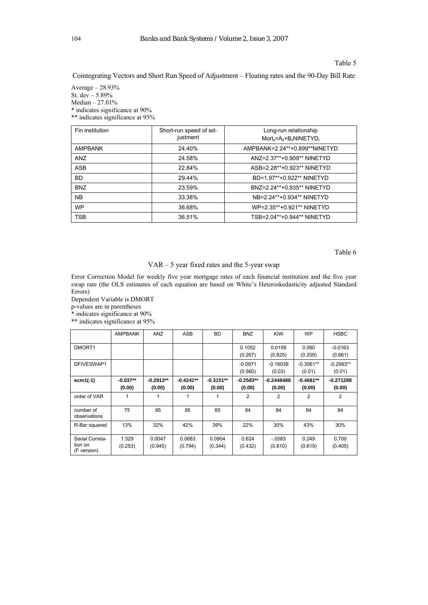#### Table 5

Cointegrating Vectors and Short Run Speed of Adjustment – Floating rates and the 90-Day Bill Rate

Average – 28.93% St. dev – 5.89% Median – 27.01% \* indicates significance at 90% \*\* indicates significance at 95%

| Fin institution | Short-run speed of ad-<br>justment | Long-run relationship<br>$Mort_{it} = A_{it} + B_{it} NINETYD_t$ |
|-----------------|------------------------------------|------------------------------------------------------------------|
| <b>AMPBANK</b>  | 24.40%                             | AMPBANK=2.24**+0.899**NINETYD                                    |
| ANZ             | 24.58%                             | ANZ=2.37**+0.909** NINETYD                                       |
| <b>ASB</b>      | 22.84%                             | ASB=2.28**+0.923** NINETYD                                       |
| <b>BD</b>       | 29.44%                             | BD=1.97**+0.922** NINETYD                                        |
| <b>BNZ</b>      | 23.59%                             | BNZ=2.24**+0.935** NINETYD                                       |
| <b>NB</b>       | 33.38%                             | NB=2.24**+0.934** NINETYD                                        |
| <b>WP</b>       | 36.68%                             | WP=2.35**+0.921** NINETYD                                        |
| <b>TSB</b>      | 36.51%                             | TSB=2.04**+0.944** NINETYD                                       |

Table 6

# VAR – 5 year fixed rates and the 5-year swap

Error Correction Model for weekly five year mortgage rates of each financial institution and the five year swap rate (the OLS estimates of each equation are based on White's Heteroskedasticity adjusted Standard Errors)

Dependent Variable is DMORT p-values are in parentheses

\* indicates significance at 90%

\*\* indicates significance at 95%

|                                           | <b>AMPBANK</b>       | ANZ                   | <b>ASB</b>            | <b>BD</b>             | <b>BNZ</b>            | <b>KIW</b>             | <b>WP</b>             | <b>HSBC</b>           |
|-------------------------------------------|----------------------|-----------------------|-----------------------|-----------------------|-----------------------|------------------------|-----------------------|-----------------------|
| DMORT1                                    |                      |                       |                       |                       | 0.1052<br>(0.267)     | 0.0158<br>(0.825)      | 0.080<br>(0.209)      | $-0.0163$<br>(0.661)  |
| DFIVESWAP1                                |                      |                       |                       |                       | $-0.0971$<br>(0.560)  | $-0.16038$<br>(0.03)   | $-0.3561**$<br>(0.01) | $-0.2993**$<br>(0.01) |
| $ecm1(-1)$                                | $-0.037**$<br>(0.00) | $-0.2913**$<br>(0.00) | $-0.4241**$<br>(0.00) | $-0.3151**$<br>(0.00) | $-0.2583**$<br>(0.00) | $-0.2448488$<br>(0.00) | $-0.4681**$<br>(0.00) | $-0.271288$<br>(0.00) |
| order of VAR                              |                      |                       | 1                     |                       | 2                     | 2                      | 2                     | 2                     |
| number of<br>observations                 | 75                   | 85                    | 85                    | 85                    | 84                    | 84                     | 84                    | 84                    |
| R-Bar squared                             | 13%                  | 32%                   | 42%                   | 39%                   | 22%                   | 30%                    | 43%                   | 30%                   |
| Serial Correla-<br>tion on<br>(F version) | 1.329<br>(0.253)     | 0.0047<br>(0.945)     | 0.0683<br>(0.794)     | 0.0904<br>(0.344)     | 0.624<br>(0.432)      | $-0583$<br>(0.810)     | 0.249<br>(0.619)      | 0.700<br>(0.405)      |